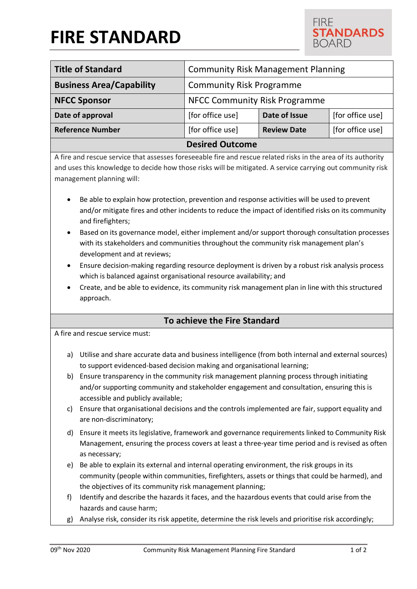# **FIRE STANDARD**



| <b>Title of Standard</b>        | <b>Community Risk Management Planning</b> |                    |                  |
|---------------------------------|-------------------------------------------|--------------------|------------------|
| <b>Business Area/Capability</b> | <b>Community Risk Programme</b>           |                    |                  |
| <b>NFCC Sponsor</b>             | <b>NFCC Community Risk Programme</b>      |                    |                  |
| Date of approval                | [for office use]                          | Date of Issue      | [for office use] |
| <b>Reference Number</b>         | [for office use]                          | <b>Review Date</b> | [for office use] |
| <b>Desired Outcome</b>          |                                           |                    |                  |

A fire and rescue service that assesses foreseeable fire and rescue related risks in the area of its authority and uses this knowledge to decide how those risks will be mitigated. A service carrying out community risk management planning will:

- Be able to explain how protection, prevention and response activities will be used to prevent and/or mitigate fires and other incidents to reduce the impact of identified risks on its community and firefighters;
- Based on its governance model, either implement and/or support thorough consultation processes with its stakeholders and communities throughout the community risk management plan's development and at reviews;
- Ensure decision-making regarding resource deployment is driven by a robust risk analysis process which is balanced against organisational resource availability; and
- Create, and be able to evidence, its community risk management plan in line with this structured approach.

## **To achieve the Fire Standard**

A fire and rescue service must:

- a) Utilise and share accurate data and business intelligence (from both internal and external sources) to support evidenced-based decision making and organisational learning;
- b) Ensure transparency in the community risk management planning process through initiating and/or supporting community and stakeholder engagement and consultation, ensuring this is accessible and publicly available;
- c) Ensure that organisational decisions and the controls implemented are fair, support equality and are non-discriminatory;
- d) Ensure it meets its legislative, framework and governance requirements linked to Community Risk Management, ensuring the process covers at least a three-year time period and is revised as often as necessary;
- e) Be able to explain its external and internal operating environment, the risk groups in its community (people within communities, firefighters, assets or things that could be harmed), and the objectives of its community risk management planning;
- f) Identify and describe the hazards it faces, and the hazardous events that could arise from the hazards and cause harm;
- g) Analyse risk, consider its risk appetite, determine the risk levels and prioritise risk accordingly;